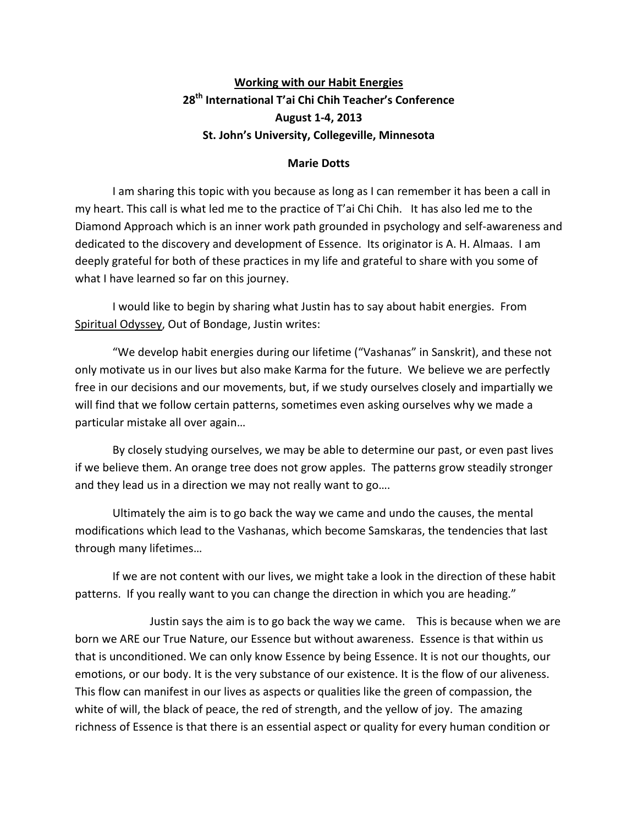## **Working with our Habit Energies** 28<sup>th</sup> International T'ai Chi Chih Teacher's Conference **August 1-4, 2013** St. John's University, Collegeville, Minnesota

### **Marie Dotts**

I am sharing this topic with you because as long as I can remember it has been a call in my heart. This call is what led me to the practice of T'ai Chi Chih. It has also led me to the Diamond Approach which is an inner work path grounded in psychology and self-awareness and dedicated to the discovery and development of Essence. Its originator is A. H. Almaas. I am deeply grateful for both of these practices in my life and grateful to share with you some of what I have learned so far on this journey.

I would like to begin by sharing what Justin has to say about habit energies. From Spiritual Odyssey, Out of Bondage, Justin writes:

"We develop habit energies during our lifetime ("Vashanas" in Sanskrit), and these not only motivate us in our lives but also make Karma for the future. We believe we are perfectly free in our decisions and our movements, but, if we study ourselves closely and impartially we will find that we follow certain patterns, sometimes even asking ourselves why we made a particular mistake all over again...

By closely studying ourselves, we may be able to determine our past, or even past lives if we believe them. An orange tree does not grow apples. The patterns grow steadily stronger and they lead us in a direction we may not really want to go....

Ultimately the aim is to go back the way we came and undo the causes, the mental modifications which lead to the Vashanas, which become Samskaras, the tendencies that last through many lifetimes...

If we are not content with our lives, we might take a look in the direction of these habit patterns. If you really want to you can change the direction in which you are heading."

Justin says the aim is to go back the way we came. This is because when we are born we ARE our True Nature, our Essence but without awareness. Essence is that within us that is unconditioned. We can only know Essence by being Essence. It is not our thoughts, our emotions, or our body. It is the very substance of our existence. It is the flow of our aliveness. This flow can manifest in our lives as aspects or qualities like the green of compassion, the white of will, the black of peace, the red of strength, and the yellow of joy. The amazing richness of Essence is that there is an essential aspect or quality for every human condition or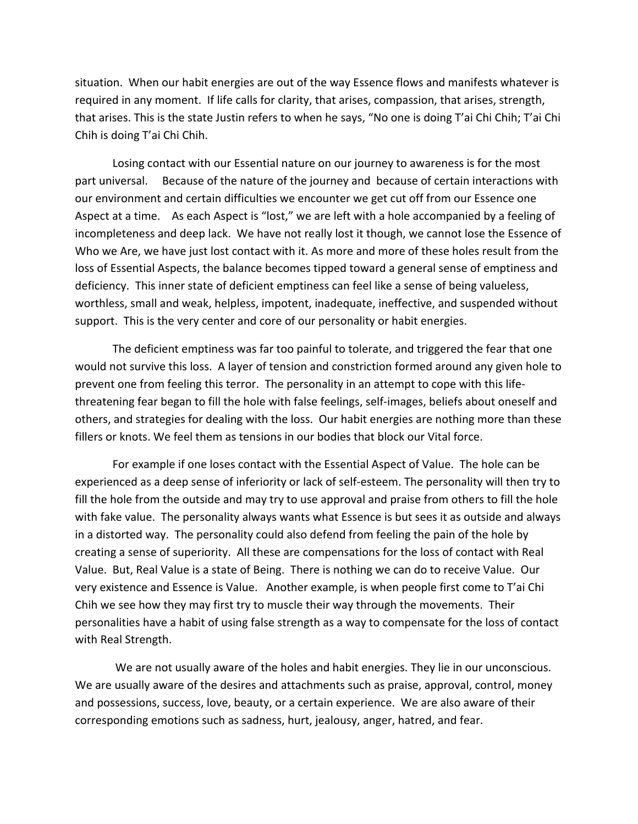situation. When our habit energies are out of the way Essence flows and manifests whatever is required in any moment. If life calls for clarity, that arises, compassion, that arises, strength, that arises. This is the state Justin refers to when he says, "No one is doing T'ai Chi Chih; T'ai Chi Chih is doing T'ai Chi Chih.

Losing contact with our Essential nature on our journey to awareness is for the most part universal. Because of the nature of the journey and because of certain interactions with our environment and certain difficulties we encounter we get cut off from our Essence one Aspect at a time. As each Aspect is "lost," we are left with a hole accompanied by a feeling of incompleteness and deep lack. We have not really lost it though, we cannot lose the Essence of Who we Are, we have just lost contact with it. As more and more of these holes result from the loss of Essential Aspects, the balance becomes tipped toward a general sense of emptiness and deficiency. This inner state of deficient emptiness can feel like a sense of being valueless, worthless, small and weak, helpless, impotent, inadequate, ineffective, and suspended without support. This is the very center and core of our personality or habit energies.

The deficient emptiness was far too painful to tolerate, and triggered the fear that one would not survive this loss. A layer of tension and constriction formed around any given hole to prevent one from feeling this terror. The personality in an attempt to cope with this lifethreatening fear began to fill the hole with false feelings, self-images, beliefs about oneself and others, and strategies for dealing with the loss. Our habit energies are nothing more than these fillers or knots. We feel them as tensions in our bodies that block our Vital force.

For example if one loses contact with the Essential Aspect of Value. The hole can be experienced as a deep sense of inferiority or lack of self-esteem. The personality will then try to fill the hole from the outside and may try to use approval and praise from others to fill the hole with fake value. The personality always wants what Essence is but sees it as outside and always in a distorted way. The personality could also defend from feeling the pain of the hole by creating a sense of superiority. All these are compensations for the loss of contact with Real Value. But, Real Value is a state of Being. There is nothing we can do to receive Value. Our very existence and Essence is Value. Another example, is when people first come to T'ai Chi Chih we see how they may first try to muscle their way through the movements. Their personalities have a habit of using false strength as a way to compensate for the loss of contact with Real Strength.

We are not usually aware of the holes and habit energies. They lie in our unconscious. We are usually aware of the desires and attachments such as praise, approval, control, money and possessions, success, love, beauty, or a certain experience. We are also aware of their corresponding emotions such as sadness, hurt, jealousy, anger, hatred, and fear.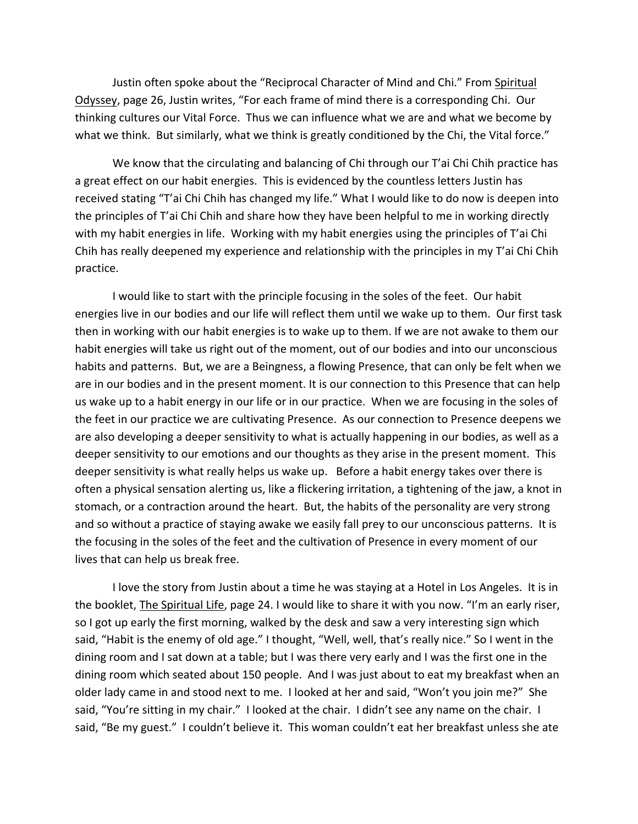Justin often spoke about the "Reciprocal Character of Mind and Chi." From Spiritual Odyssey, page 26, Justin writes, "For each frame of mind there is a corresponding Chi. Our thinking cultures our Vital Force. Thus we can influence what we are and what we become by what we think. But similarly, what we think is greatly conditioned by the Chi, the Vital force."

We know that the circulating and balancing of Chi through our T'ai Chi Chih practice has a great effect on our habit energies. This is evidenced by the countless letters Justin has received stating "T'ai Chi Chih has changed my life." What I would like to do now is deepen into the principles of T'ai Chi Chih and share how they have been helpful to me in working directly with my habit energies in life. Working with my habit energies using the principles of T'ai Chi Chih has really deepened my experience and relationship with the principles in my T'ai Chi Chih practice.

I would like to start with the principle focusing in the soles of the feet. Our habit energies live in our bodies and our life will reflect them until we wake up to them. Our first task then in working with our habit energies is to wake up to them. If we are not awake to them our habit energies will take us right out of the moment, out of our bodies and into our unconscious habits and patterns. But, we are a Beingness, a flowing Presence, that can only be felt when we are in our bodies and in the present moment. It is our connection to this Presence that can help us wake up to a habit energy in our life or in our practice. When we are focusing in the soles of the feet in our practice we are cultivating Presence. As our connection to Presence deepens we are also developing a deeper sensitivity to what is actually happening in our bodies, as well as a deeper sensitivity to our emotions and our thoughts as they arise in the present moment. This deeper sensitivity is what really helps us wake up. Before a habit energy takes over there is often a physical sensation alerting us, like a flickering irritation, a tightening of the jaw, a knot in stomach, or a contraction around the heart. But, the habits of the personality are very strong and so without a practice of staying awake we easily fall prey to our unconscious patterns. It is the focusing in the soles of the feet and the cultivation of Presence in every moment of our lives that can help us break free.

I love the story from Justin about a time he was staying at a Hotel in Los Angeles. It is in the booklet, *The Spiritual Life*, page 24. I would like to share it with you now. "I'm an early riser, so I got up early the first morning, walked by the desk and saw a very interesting sign which said, "Habit is the enemy of old age." I thought, "Well, well, that's really nice." So I went in the dining room and I sat down at a table; but I was there very early and I was the first one in the dining room which seated about 150 people. And I was just about to eat my breakfast when an older lady came in and stood next to me. I looked at her and said, "Won't you join me?" She said, "You're sitting in my chair." I looked at the chair. I didn't see any name on the chair. I said, "Be my guest." I couldn't believe it. This woman couldn't eat her breakfast unless she ate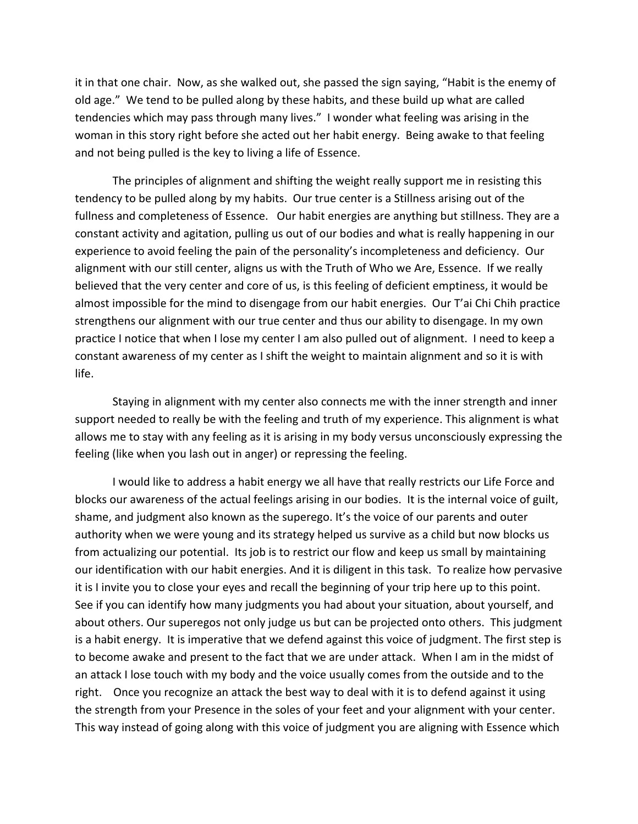it in that one chair. Now, as she walked out, she passed the sign saying, "Habit is the enemy of old age." We tend to be pulled along by these habits, and these build up what are called tendencies which may pass through many lives." I wonder what feeling was arising in the woman in this story right before she acted out her habit energy. Being awake to that feeling and not being pulled is the key to living a life of Essence.

The principles of alignment and shifting the weight really support me in resisting this tendency to be pulled along by my habits. Our true center is a Stillness arising out of the fullness and completeness of Essence. Our habit energies are anything but stillness. They are a constant activity and agitation, pulling us out of our bodies and what is really happening in our experience to avoid feeling the pain of the personality's incompleteness and deficiency. Our alignment with our still center, aligns us with the Truth of Who we Are, Essence. If we really believed that the very center and core of us, is this feeling of deficient emptiness, it would be almost impossible for the mind to disengage from our habit energies. Our T'ai Chi Chih practice strengthens our alignment with our true center and thus our ability to disengage. In my own practice I notice that when I lose my center I am also pulled out of alignment. I need to keep a constant awareness of my center as I shift the weight to maintain alignment and so it is with life.

Staying in alignment with my center also connects me with the inner strength and inner support needed to really be with the feeling and truth of my experience. This alignment is what allows me to stay with any feeling as it is arising in my body versus unconsciously expressing the feeling (like when you lash out in anger) or repressing the feeling.

I would like to address a habit energy we all have that really restricts our Life Force and blocks our awareness of the actual feelings arising in our bodies. It is the internal voice of guilt, shame, and judgment also known as the superego. It's the voice of our parents and outer authority when we were young and its strategy helped us survive as a child but now blocks us from actualizing our potential. Its job is to restrict our flow and keep us small by maintaining our identification with our habit energies. And it is diligent in this task. To realize how pervasive it is I invite you to close your eyes and recall the beginning of your trip here up to this point. See if you can identify how many judgments you had about your situation, about yourself, and about others. Our superegos not only judge us but can be projected onto others. This judgment is a habit energy. It is imperative that we defend against this voice of judgment. The first step is to become awake and present to the fact that we are under attack. When I am in the midst of an attack I lose touch with my body and the voice usually comes from the outside and to the right. Once you recognize an attack the best way to deal with it is to defend against it using the strength from your Presence in the soles of your feet and your alignment with your center. This way instead of going along with this voice of judgment you are aligning with Essence which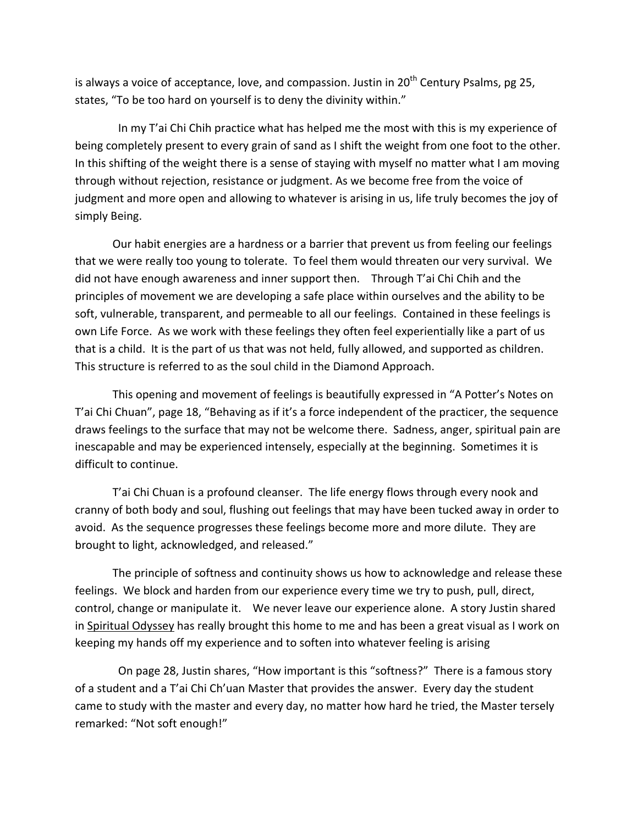is always a voice of acceptance, love, and compassion. Justin in  $20<sup>th</sup>$  Century Psalms, pg 25, states, "To be too hard on yourself is to deny the divinity within."

In my T'ai Chi Chih practice what has helped me the most with this is my experience of being completely present to every grain of sand as I shift the weight from one foot to the other. In this shifting of the weight there is a sense of staying with myself no matter what I am moving through without rejection, resistance or judgment. As we become free from the voice of judgment and more open and allowing to whatever is arising in us, life truly becomes the joy of simply Being.

Our habit energies are a hardness or a barrier that prevent us from feeling our feelings that we were really too young to tolerate. To feel them would threaten our very survival. We did not have enough awareness and inner support then. Through T'ai Chi Chih and the principles of movement we are developing a safe place within ourselves and the ability to be soft, vulnerable, transparent, and permeable to all our feelings. Contained in these feelings is own Life Force. As we work with these feelings they often feel experientially like a part of us that is a child. It is the part of us that was not held, fully allowed, and supported as children. This structure is referred to as the soul child in the Diamond Approach.

This opening and movement of feelings is beautifully expressed in "A Potter's Notes on T'ai Chi Chuan", page 18, "Behaving as if it's a force independent of the practicer, the sequence draws feelings to the surface that may not be welcome there. Sadness, anger, spiritual pain are inescapable and may be experienced intensely, especially at the beginning. Sometimes it is difficult to continue.

T'ai Chi Chuan is a profound cleanser. The life energy flows through every nook and cranny of both body and soul, flushing out feelings that may have been tucked away in order to avoid. As the sequence progresses these feelings become more and more dilute. They are brought to light, acknowledged, and released."

The principle of softness and continuity shows us how to acknowledge and release these feelings. We block and harden from our experience every time we try to push, pull, direct, control, change or manipulate it. We never leave our experience alone. A story Justin shared in Spiritual Odyssey has really brought this home to me and has been a great visual as I work on keeping my hands off my experience and to soften into whatever feeling is arising

On page 28, Justin shares, "How important is this "softness?" There is a famous story of a student and a T'ai Chi Ch'uan Master that provides the answer. Every day the student came to study with the master and every day, no matter how hard he tried, the Master tersely remarked: "Not soft enough!"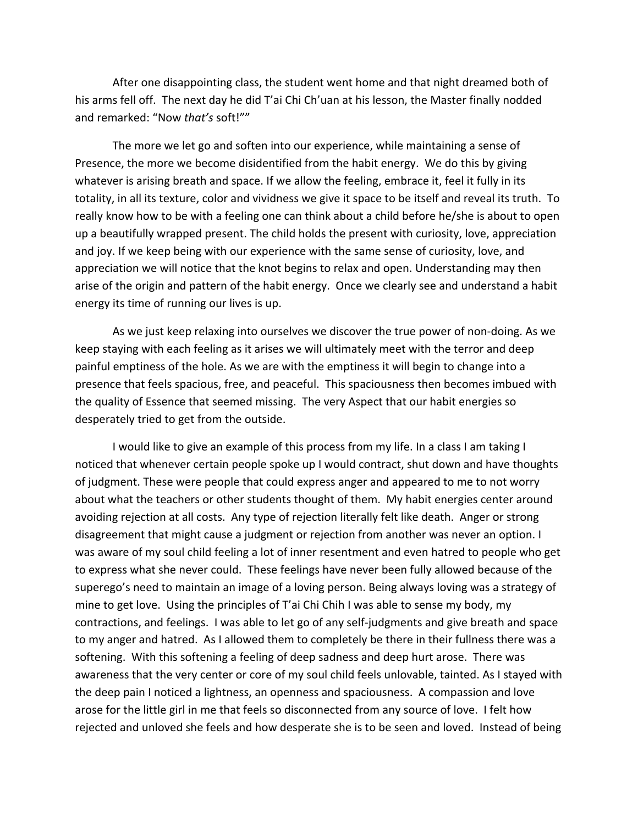After one disappointing class, the student went home and that night dreamed both of his arms fell off. The next day he did T'ai Chi Ch'uan at his lesson, the Master finally nodded and remarked: "Now that's soft!""

The more we let go and soften into our experience, while maintaining a sense of Presence, the more we become disidentified from the habit energy. We do this by giving whatever is arising breath and space. If we allow the feeling, embrace it, feel it fully in its totality, in all its texture, color and vividness we give it space to be itself and reveal its truth. To really know how to be with a feeling one can think about a child before he/she is about to open up a beautifully wrapped present. The child holds the present with curiosity, love, appreciation and joy. If we keep being with our experience with the same sense of curiosity, love, and appreciation we will notice that the knot begins to relax and open. Understanding may then arise of the origin and pattern of the habit energy. Once we clearly see and understand a habit energy its time of running our lives is up.

As we just keep relaxing into ourselves we discover the true power of non-doing. As we keep staying with each feeling as it arises we will ultimately meet with the terror and deep painful emptiness of the hole. As we are with the emptiness it will begin to change into a presence that feels spacious, free, and peaceful. This spaciousness then becomes imbued with the quality of Essence that seemed missing. The very Aspect that our habit energies so desperately tried to get from the outside.

I would like to give an example of this process from my life. In a class I am taking I noticed that whenever certain people spoke up I would contract, shut down and have thoughts of judgment. These were people that could express anger and appeared to me to not worry about what the teachers or other students thought of them. My habit energies center around avoiding rejection at all costs. Any type of rejection literally felt like death. Anger or strong disagreement that might cause a judgment or rejection from another was never an option. I was aware of my soul child feeling a lot of inner resentment and even hatred to people who get to express what she never could. These feelings have never been fully allowed because of the superego's need to maintain an image of a loving person. Being always loving was a strategy of mine to get love. Using the principles of T'ai Chi Chih I was able to sense my body, my contractions, and feelings. I was able to let go of any self-judgments and give breath and space to my anger and hatred. As I allowed them to completely be there in their fullness there was a softening. With this softening a feeling of deep sadness and deep hurt arose. There was awareness that the very center or core of my soul child feels unlovable, tainted. As I stayed with the deep pain I noticed a lightness, an openness and spaciousness. A compassion and love arose for the little girl in me that feels so disconnected from any source of love. I felt how rejected and unloved she feels and how desperate she is to be seen and loved. Instead of being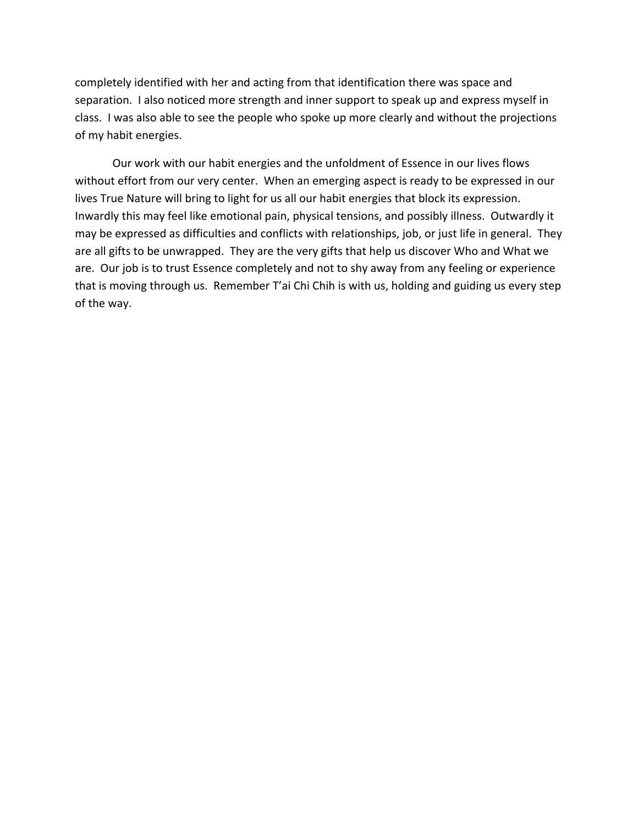completely identified with her and acting from that identification there was space and separation. I also noticed more strength and inner support to speak up and express myself in class. I was also able to see the people who spoke up more clearly and without the projections of my habit energies.

Our work with our habit energies and the unfoldment of Essence in our lives flows without effort from our very center. When an emerging aspect is ready to be expressed in our lives True Nature will bring to light for us all our habit energies that block its expression. Inwardly this may feel like emotional pain, physical tensions, and possibly illness. Outwardly it may be expressed as difficulties and conflicts with relationships, job, or just life in general. They are all gifts to be unwrapped. They are the very gifts that help us discover Who and What we are. Our job is to trust Essence completely and not to shy away from any feeling or experience that is moving through us. Remember T'ai Chi Chih is with us, holding and guiding us every step of the way.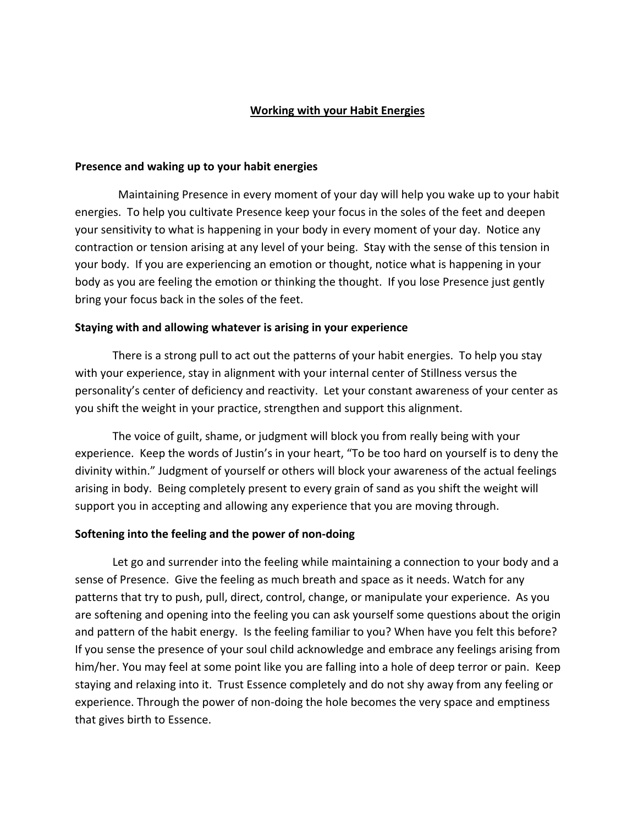#### **Working with your Habit Energies**

#### **Presence and waking up to your habit energies**

Maintaining Presence in every moment of your day will help you wake up to your habit energies. To help you cultivate Presence keep your focus in the soles of the feet and deepen your sensitivity to what is happening in your body in every moment of your day. Notice any contraction or tension arising at any level of your being. Stay with the sense of this tension in your body. If you are experiencing an emotion or thought, notice what is happening in your body as you are feeling the emotion or thinking the thought. If you lose Presence just gently bring your focus back in the soles of the feet.

#### **Staying with and allowing whatever is arising in your experience**

There is a strong pull to act out the patterns of your habit energies. To help you stay with your experience, stay in alignment with your internal center of Stillness versus the personality's center of deficiency and reactivity. Let your constant awareness of your center as you shift the weight in your practice, strengthen and support this alignment.

The voice of guilt, shame, or judgment will block you from really being with your experience. Keep the words of Justin's in your heart, "To be too hard on yourself is to deny the divinity within." Judgment of yourself or others will block your awareness of the actual feelings arising in body. Being completely present to every grain of sand as you shift the weight will support you in accepting and allowing any experience that you are moving through.

#### **Softening into the feeling and the power of non-doing**

Let go and surrender into the feeling while maintaining a connection to your body and a sense of Presence. Give the feeling as much breath and space as it needs. Watch for any patterns that try to push, pull, direct, control, change, or manipulate your experience. As you are softening and opening into the feeling you can ask yourself some questions about the origin and pattern of the habit energy. Is the feeling familiar to you? When have you felt this before? If you sense the presence of your soul child acknowledge and embrace any feelings arising from him/her. You may feel at some point like you are falling into a hole of deep terror or pain. Keep staying and relaxing into it. Trust Essence completely and do not shy away from any feeling or experience. Through the power of non-doing the hole becomes the very space and emptiness that gives birth to Essence.